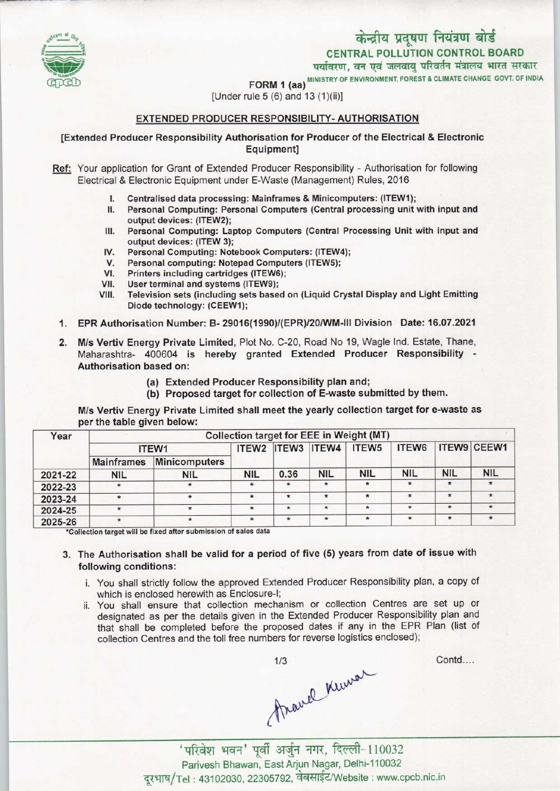

FORM 1 (aa) <sup>MINISTRY OF ENVIRONMENT, FOREST & CLIMATE CHANGE GOVT. OF INDIA</sup>

[Under rule 5 (6) and 13 (1)(ii)]

### EXTENDED PRODUCER RESPONSIBILITY-AUTHORISATION

### [Extended Producer Responsibility Authorisation for Producer ofthe Electrical & Electronic Equipment]

- Ref: Your application for Grant of Extended Producer Responsibility Authorisation for following Electrical & Electronic Equipment under E-Waste (Management) Rules, 2016
	- I. Centralised data processing: Mainframes & Minicomputers: (ITEW1);<br>II. Personal Computing: Personal Computers (Central processing unit)
	- Personal Computing: Personal Computers (Central processing unit with input and output devices: (ITEW2);
	- III. Personal Computing: Laptop Computers (Central Processing Unit with input and output devices: (ITEW 3); III. Personal Computing: Laptop Computers (Central Proutput devices: (ITEW 3);<br>IV. Personal Computing: Notebook Computers: (ITEW4);<br>V. Personal computing: Notebook Computers (ITEW5);
	- Supplied devices: (ITEW 3);<br>V. Personal Computing: Notebook Computers: (ITEW<br>V. Personal computing: Notepad Computers (ITEW5);<br>Printers including cartridges (ITEW6);
	-
	- IV. Personal Computing: Notebook Comp<br>V. Personal computing: Notepad Compu<br>VI. Printers including cartridges (ITEW6);<br>/II. Heer terminal and systems (ITEW9); V. Personal computing: Notepad Computing<br>VII. Diser terminal and systems (ITEW9);<br>VII. User terminal and systems (ITEW9);<br>VIII. Television sets (including sets base
	-
	- VII. User terminal and systems (ITEW9);<br>VIII. Television sets (including sets based on (Liquid Crystal Display and Light Emitting Diode technology: (CEEW1);
- 1.EPR Authorisation Number: B- 29016(1990)/(EPR)/20/WM-lll Division Date: 16.07.2021
- 2.M/s Vertiv Energy Private Limited, Plot No. C-20, Road No 19, Wagle Ind. Estate, Thane, Maharashtra- <sup>400604</sup> is hereby granted Extended Producer Responsibility - Authorisation based on:
	- (a) Extended Producer Responsibility plan and;
	- (b) Proposed target for collection of E-waste submitted by them.

M/s Vertiv Energy Private Limited shall meet the yearly collection target for e-waste as per the table given below:

| Year    | Collection target for EEE in Weight (MT) |                      |                   |         |                    |                   |              |            |             |
|---------|------------------------------------------|----------------------|-------------------|---------|--------------------|-------------------|--------------|------------|-------------|
|         | ITEW1                                    |                      | ITEW <sub>2</sub> |         | <b>ITEW3 ITEW4</b> | ITEW <sub>5</sub> | <b>ITEW6</b> |            | ITEW9 CEEW1 |
|         | <b>Mainframes</b>                        | <b>Minicomputers</b> |                   |         |                    |                   |              |            |             |
| 2021-22 | <b>NIL</b>                               | <b>NIL</b>           | <b>NIL</b>        | 0.36    | <b>NIL</b>         | <b>NIL</b>        | <b>NIL</b>   | <b>NIL</b> | <b>NIL</b>  |
| 2022-23 | $\star$                                  |                      | $\star$           | $\star$ | $\ast$             |                   | $\star$      | $\star$    |             |
| 2023-24 |                                          |                      | 米                 | $\star$ | $\star$            | $\star$           | $\star$      | $\star$    |             |
| 2024-25 |                                          |                      | $\star$           | $\star$ | $\star$            | $\star$           | $\star$      | $\star$    | $\star$     |
| 2025-26 |                                          |                      |                   | $\star$ | $\star$            | $\star$           | $\star$      | $\star$    | $\star$     |

\*Collection target will be fixed after submission of sales data

## 3. The Authorisation shall be valid for a period of five (5) years from date of issue with following conditions:

- i. You shall strictly follow the approved Extended Producer Responsibility plan, a copy of which is enclosed herewith as Enclosure-I;
- ii. You shall ensure that collection mechanism or collection Centres are set up or designated as per the details given in the Extended Producer Responsibility plan and that shall be completed before the proposed dates if any in the EPR Plan (list of collection Centres and the toll free numbers for reverse logistics enclosed);

mavel Kuwa

Contd....

Parivesh Bhawan, East Arjun Nagar, Delhi-110032 दरभाष/Tel: 43102030, 22305792, वेबसाईट/Website : www.cpcb.nic.in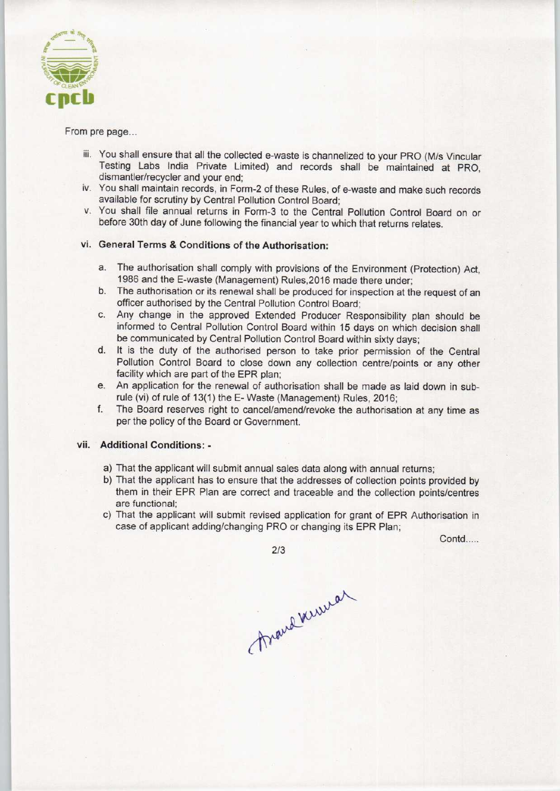

From pre page...

- iii. You shall ensure that all the collected e-waste is channelized to your PRO (M/s Vincular Testing Labs India Private Limited) and records shall be maintained at PRO, dismantler/recycler and your end;
- iv. You shall maintain records, in Form-2 of these Rules, of e-waste and make such records available for scrutiny by Central Pollution Control Board;
- v. You shall file annual returns in Form-3 to the Central Pollution Control Board on or before 30th day of June following the financial year to which that returns relates.

# vi. General Terms & Conditions of the Authorisation:

- a.The authorisation shall comply with provisions of the Environment (Protection) Act, 1986 and the E-waste (Management) Rules,2016 made there under;
- b.The authorisation or its renewal shall be produced for inspection at the request of an officer authorised by the Central Pollution Control Board;
- c.Any change in the approved Extended Producer Responsibility plan should be informed to Central Pollution Control Board within 15 days on which decision shall be communicated by Central Pollution Control Board within sixty days;
- d. It is the duty of the authorised person to take prior permission of the Central Pollution Control Board to close down any collection centre/points or any other facility which are part of the EPR plan;
- e. An application for the renewal of authorisation shall be made as laid down in subrule (vi) of rule of 13(1) the E-Waste (Management) Rules, 2016;
- f.The Board reserves right to cancel/amend/revoke the authorisation at any time as per the policy of the Board or Government.

### vii. Additional Conditions: -

- a) That the applicant will submit annual sales data along with annual returns;
- b) That the applicant has to ensure that the addresses of collection points provided by them in their EPR Plan are correct and traceable and the collection points/centres are functional;
- c) That the applicant will submit revised application for grant of EPR Authorisation in case of applicant adding/changing PRO or changing its EPR Plan;

Contd.....

2/3

Anough Webert